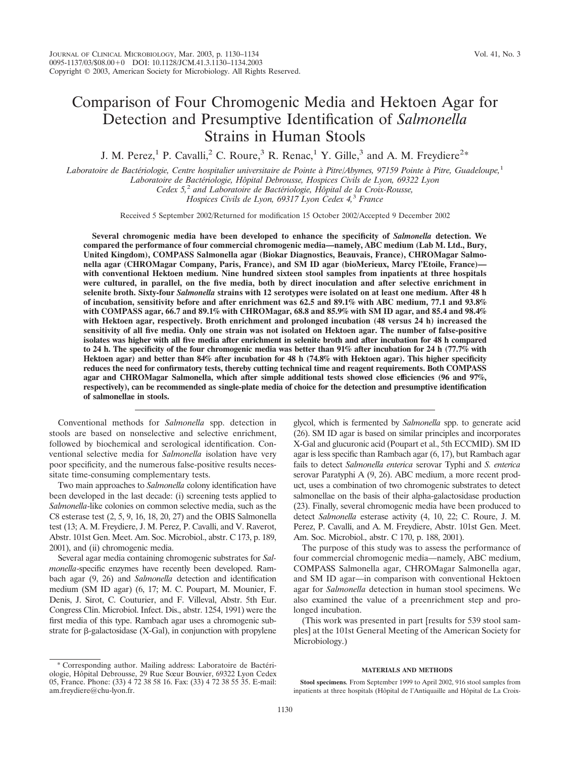# Comparison of Four Chromogenic Media and Hektoen Agar for Detection and Presumptive Identification of *Salmonella* Strains in Human Stools

J. M. Perez,<sup>1</sup> P. Cavalli,<sup>2</sup> C. Roure,<sup>3</sup> R. Renac,<sup>1</sup> Y. Gille,<sup>3</sup> and A. M. Freydiere<sup>2\*</sup>

*Laboratoire de Bacte´riologie, Centre hospitalier universitaire de Pointe a` Pitre/Abymes, 97159 Pointe a` Pitre, Guadeloupe,*<sup>1</sup> *Laboratoire de Bacte´riologie, Hoˆpital Debrousse, Hospices Civils de Lyon, 69322 Lyon Cedex 5,*<sup>2</sup> *and Laboratoire de Bacte´riologie, Hoˆpital de la Croix-Rousse, Hospices Civils de Lyon, 69317 Lyon Cedex 4,*<sup>3</sup> *France*

Received 5 September 2002/Returned for modification 15 October 2002/Accepted 9 December 2002

**Several chromogenic media have been developed to enhance the specificity of** *Salmonella* **detection. We compared the performance of four commercial chromogenic media—namely, ABC medium (Lab M. Ltd., Bury, United Kingdom), COMPASS Salmonella agar (Biokar Diagnostics, Beauvais, France), CHROMagar Salmonella agar (CHROMagar Company, Paris, France), and SM ID agar (bioMerieux, Marcy l'Etoile, France) with conventional Hektoen medium. Nine hundred sixteen stool samples from inpatients at three hospitals were cultured, in parallel, on the five media, both by direct inoculation and after selective enrichment in selenite broth. Sixty-four** *Salmonella* **strains with 12 serotypes were isolated on at least one medium. After 48 h of incubation, sensitivity before and after enrichment was 62.5 and 89.1% with ABC medium, 77.1 and 93.8% with COMPASS agar, 66.7 and 89.1% with CHROMagar, 68.8 and 85.9% with SM ID agar, and 85.4 and 98.4% with Hektoen agar, respectively. Broth enrichment and prolonged incubation (48 versus 24 h) increased the sensitivity of all five media. Only one strain was not isolated on Hektoen agar. The number of false-positive isolates was higher with all five media after enrichment in selenite broth and after incubation for 48 h compared to 24 h. The specificity of the four chromogenic media was better than 91% after incubation for 24 h (77.7% with Hektoen agar) and better than 84% after incubation for 48 h (74.8% with Hektoen agar). This higher specificity reduces the need for confirmatory tests, thereby cutting technical time and reagent requirements. Both COMPASS agar and CHROMagar Salmonella, which after simple additional tests showed close efficiencies (96 and 97%, respectively), can be recommended as single-plate media of choice for the detection and presumptive identification of salmonellae in stools.**

Conventional methods for *Salmonella* spp. detection in stools are based on nonselective and selective enrichment, followed by biochemical and serological identification. Conventional selective media for *Salmonella* isolation have very poor specificity, and the numerous false-positive results necessitate time-consuming complementary tests.

Two main approaches to *Salmonella* colony identification have been developed in the last decade: (i) screening tests applied to *Salmonella*-like colonies on common selective media, such as the C8 esterase test (2, 5, 9, 16, 18, 20, 27) and the OBIS Salmonella test (13; A. M. Freydiere, J. M. Perez, P. Cavalli, and V. Raverot, Abstr. 101st Gen. Meet. Am. Soc. Microbiol., abstr. C 173, p. 189, 2001), and (ii) chromogenic media.

Several agar media containing chromogenic substrates for *Salmonella*-specific enzymes have recently been developed. Rambach agar (9, 26) and *Salmonella* detection and identification medium (SM ID agar) (6, 17; M. C. Poupart, M. Mounier, F. Denis, J. Sirot, C. Couturier, and F. Villeval, Abstr. 5th Eur. Congress Clin. Microbiol. Infect. Dis., abstr. 1254, 1991) were the first media of this type. Rambach agar uses a chromogenic substrate for  $\beta$ -galactosidase (X-Gal), in conjunction with propylene

\* Corresponding author. Mailing address: Laboratoire de Bactériologie, Hoˆpital Debrousse, 29 Rue Sœur Bouvier, 69322 Lyon Cedex 05, France. Phone: (33) 4 72 38 58 16. Fax: (33) 4 72 38 55 35. E-mail: am.freydiere@chu-lyon.fr.

glycol, which is fermented by *Salmonella* spp. to generate acid (26). SM ID agar is based on similar principles and incorporates X-Gal and glucuronic acid (Poupart et al., 5th ECCMID). SM ID agar is less specific than Rambach agar (6, 17), but Rambach agar fails to detect *Salmonella enterica* serovar Typhi and *S. enterica* serovar Paratyphi A (9, 26). ABC medium, a more recent product, uses a combination of two chromogenic substrates to detect salmonellae on the basis of their alpha-galactosidase production (23). Finally, several chromogenic media have been produced to detect *Salmonella* esterase activity (4, 10, 22; C. Roure, J. M. Perez, P. Cavalli, and A. M. Freydiere, Abstr. 101st Gen. Meet. Am. Soc. Microbiol., abstr. C 170, p. 188, 2001).

The purpose of this study was to assess the performance of four commercial chromogenic media—namely, ABC medium, COMPASS Salmonella agar, CHROMagar Salmonella agar, and SM ID agar—in comparison with conventional Hektoen agar for *Salmonella* detection in human stool specimens. We also examined the value of a preenrichment step and prolonged incubation.

(This work was presented in part [results for 539 stool samples] at the 101st General Meeting of the American Society for Microbiology.)

#### **MATERIALS AND METHODS**

**Stool specimens***.* From September 1999 to April 2002, 916 stool samples from inpatients at three hospitals (Hôpital de l'Antiquaille and Hôpital de La Croix-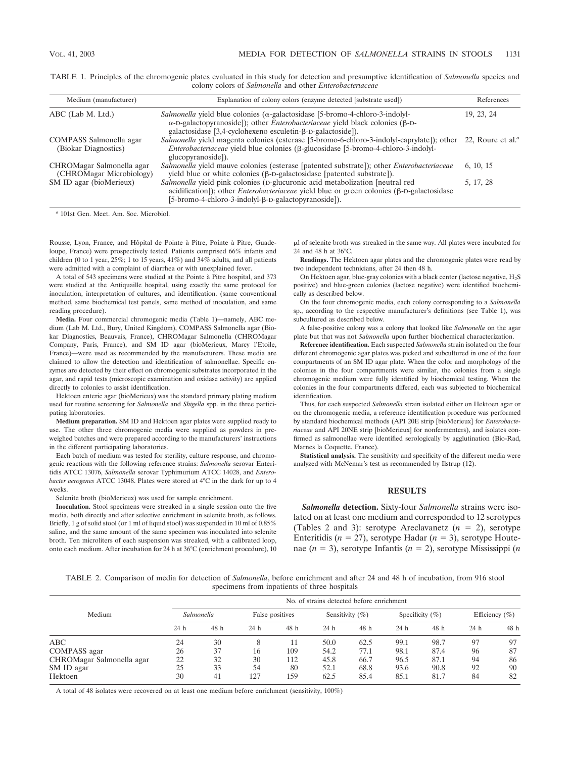| Explanation of colony colors (enzyme detected [substrate used])                                                                                                                                                                                                            | References                           |
|----------------------------------------------------------------------------------------------------------------------------------------------------------------------------------------------------------------------------------------------------------------------------|--------------------------------------|
| <i>Salmonella</i> yield blue colonies ( $\alpha$ -galactosidase [5-bromo-4-chloro-3-indolyl-<br>$\alpha$ -D-galactopyranoside]); other <i>Enterobacteriaceae</i> yield black colonies ( $\beta$ -D-<br>galactosidase [3,4-cyclohexeno esculetin- $\beta$ -D-galactoside]). | 19, 23, 24                           |
| <i>Salmonella</i> yield magenta colonies (esterase [5-bromo-6-chloro-3-indolyl-caprylate]); other<br><i>Enterobacteriaceae</i> yield blue colonies ( $\beta$ -glucosidase [5-bromo-4-chloro-3-indolyl-<br>glucopyranoside]).                                               | 22, Roure et al. <sup><i>a</i></sup> |
| Salmonella yield mauve colonies (esterase [patented substrate]); other <i>Enterobacteriaceae</i><br>yield blue or white colonies $(\beta$ -D-galactosidase [patented substrate]).                                                                                          | 6, 10, 15                            |
| Salmonella yield pink colonies (D-glucuronic acid metabolization [neutral red]<br>acidification]); other <i>Enterobacteriaceae</i> yield blue or green colonies ( $\beta$ -D-galactosidase<br>[5-bromo-4-chloro-3-indolyl-β-D-galactopyranoside]).                         | 5, 17, 28                            |
|                                                                                                                                                                                                                                                                            |                                      |

TABLE 1. Principles of the chromogenic plates evaluated in this study for detection and presumptive identification of *Salmonella* species and colony colors of *Salmonella* and other *Enterobacteriaceae*

*<sup>a</sup>* 101st Gen. Meet. Am. Soc. Microbiol.

Rousse, Lyon, France, and Hôpital de Pointe à Pitre, Pointe à Pitre, Guadeloupe, France) were prospectively tested. Patients comprised 66% infants and children (0 to 1 year,  $25\%$ ; 1 to 15 years,  $41\%$ ) and  $34\%$  adults, and all patients were admitted with a complaint of diarrhea or with unexplained fever.

A total of 543 specimens were studied at the Pointe a` Pitre hospital, and 373 were studied at the Antiquaille hospital, using exactly the same protocol for inoculation, interpretation of cultures, and identification. (same conventional method, same biochemical test panels, same method of inoculation, and same reading procedure).

**Media.** Four commercial chromogenic media (Table 1)—namely, ABC medium (Lab M. Ltd., Bury, United Kingdom), COMPASS Salmonella agar (Biokar Diagnostics, Beauvais, France), CHROMagar Salmonella (CHROMagar Company, Paris, France), and SM ID agar (bioMerieux, Marcy l'Etoile, France)—were used as recommended by the manufacturers. These media are claimed to allow the detection and identification of salmonellae. Specific enzymes are detected by their effect on chromogenic substrates incorporated in the agar, and rapid tests (microscopic examination and oxidase activity) are applied directly to colonies to assist identification.

Hektoen enteric agar (bioMerieux) was the standard primary plating medium used for routine screening for *Salmonella* and *Shigella* spp. in the three participating laboratories.

**Medium preparation.** SM ID and Hektoen agar plates were supplied ready to use. The other three chromogenic media were supplied as powders in preweighed batches and were prepared according to the manufacturers' instructions in the different participating laboratories.

Each batch of medium was tested for sterility, culture response, and chromogenic reactions with the following reference strains: *Salmonella* serovar Enteritidis ATCC 13076, *Salmonella* serovar Typhimurium ATCC 14028, and *Enterobacter aerogenes* ATCC 13048. Plates were stored at 4°C in the dark for up to 4 weeks.

Selenite broth (bioMerieux) was used for sample enrichment.

**Inoculation.** Stool specimens were streaked in a single session onto the five media, both directly and after selective enrichment in selenite broth, as follows. Briefly, 1 g of solid stool (or 1 ml of liquid stool) was suspended in 10 ml of 0.85% saline, and the same amount of the same specimen was inoculated into selenite broth. Ten microliters of each suspension was streaked, with a calibrated loop, onto each medium. After incubation for 24 h at 36°C (enrichment procedure), 10 l of selenite broth was streaked in the same way. All plates were incubated for 24 and 48 h at 36°C.

**Readings.** The Hektoen agar plates and the chromogenic plates were read by two independent technicians, after 24 then 48 h.

On Hektoen agar, blue-gray colonies with a black center (lactose negative, H<sub>2</sub>S positive) and blue-green colonies (lactose negative) were identified biochemically as described below.

On the four chromogenic media, each colony corresponding to a *Salmonella* sp., according to the respective manufacturer's definitions (see Table 1), was subcultured as described below.

A false-positive colony was a colony that looked like *Salmonella* on the agar plate but that was not *Salmonella* upon further biochemical characterization.

**Reference identification.** Each suspected *Salmonella* strain isolated on the four different chromogenic agar plates was picked and subcultured in one of the four compartments of an SM ID agar plate. When the color and morphology of the colonies in the four compartments were similar, the colonies from a single chromogenic medium were fully identified by biochemical testing. When the colonies in the four compartments differed, each was subjected to biochemical identification.

Thus, for each suspected *Salmonella* strain isolated either on Hektoen agar or on the chromogenic media, a reference identification procedure was performed by standard biochemical methods (API 20E strip [bioMerieux] for *Enterobacteriaceae* and API 20NE strip [bioMerieux] for nonfermenters), and isolates confirmed as salmonellae were identified serologically by agglutination (Bio-Rad, Marnes la Coquette, France).

**Statistical analysis.** The sensitivity and specificity of the different media were analyzed with McNemar's test as recommended by Ilstrup (12).

## **RESULTS**

*Salmonella* **detection.** Sixty-four *Salmonella* strains were isolated on at least one medium and corresponded to 12 serotypes (Tables 2 and 3): serotype Areclavanetz  $(n = 2)$ , serotype Enteritidis ( $n = 27$ ), serotype Hadar ( $n = 3$ ), serotype Houtenae ( $n = 3$ ), serotype Infantis ( $n = 2$ ), serotype Mississippi ( $n$ 

TABLE 2. Comparison of media for detection of *Salmonella*, before enrichment and after 24 and 48 h of incubation, from 916 stool specimens from inpatients of three hospitals

| Medium                    |      | No. of strains detected before enrichment |      |                 |      |                     |      |                     |      |                    |  |
|---------------------------|------|-------------------------------------------|------|-----------------|------|---------------------|------|---------------------|------|--------------------|--|
|                           |      | Salmonella                                |      | False positives |      | Sensitivity $(\% )$ |      | Specificity $(\% )$ |      | Efficiency $(\% )$ |  |
|                           | 24 h | 48 h                                      | 24 h | 48 h            | 24 h | 48 h                | 24 h | 48 h                | 24 h | 48 h               |  |
| ABC                       | 24   | 30                                        |      |                 | 50.0 | 62.5                | 99.1 | 98.7                | 97   | 97                 |  |
| <b>COMPASS</b> agar       | 26   | 37                                        | 16   | 109             | 54.2 | 77.1                | 98.1 | 87.4                | 96   | 87                 |  |
| CHROMagar Salmonella agar | 22   | 32                                        | 30   | 112             | 45.8 | 66.7                | 96.5 | 87.1                | 94   | 86                 |  |
| SM ID agar                | 25   | 33                                        | 54   | 80              | 52.1 | 68.8                | 93.6 | 90.8                | 92   | 90                 |  |
| Hektoen                   | 30   | 41                                        | 127  | 159             | 62.5 | 85.4                | 85.1 | 81.7                | 84   | 82                 |  |

A total of 48 isolates were recovered on at least one medium before enrichment (sensitivity, 100%)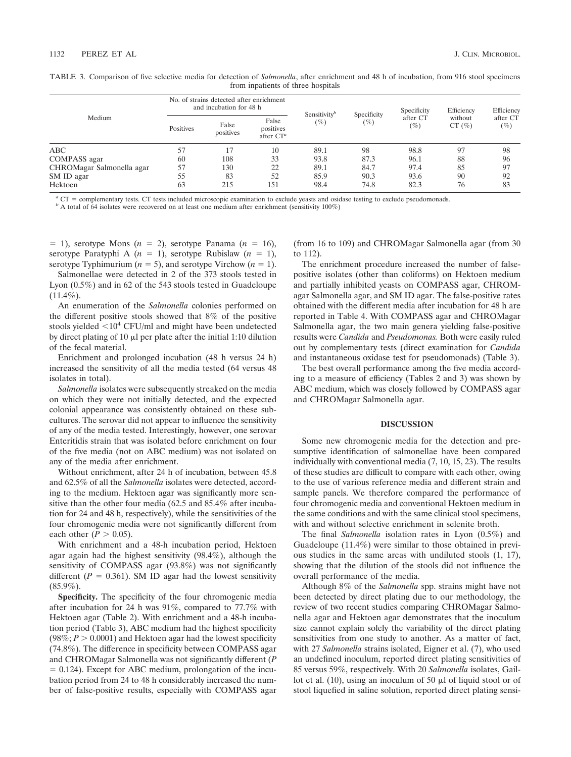| Medium                    |           | No. of strains detected after enrichment<br>and incubation for 48 h |                                    |                                    |                       |                                   |                                   |                                  |
|---------------------------|-----------|---------------------------------------------------------------------|------------------------------------|------------------------------------|-----------------------|-----------------------------------|-----------------------------------|----------------------------------|
|                           | Positives | False<br>positives                                                  | False<br>positives<br>after $CT^a$ | Sensitivity <sup>b</sup><br>$(\%)$ | Specificity<br>$(\%)$ | Specificity<br>after CT<br>$(\%)$ | Efficiency<br>without<br>$CT(\%)$ | Efficiency<br>after CT<br>$(\%)$ |
| ABC                       | 57        |                                                                     | 10                                 | 89.1                               | 98                    | 98.8                              | 97                                | 98                               |
| COMPASS agar              | 60        | 108                                                                 | 33                                 | 93.8                               | 87.3                  | 96.1                              | 88                                | 96                               |
| CHROMagar Salmonella agar | 57        | 130                                                                 | 22                                 | 89.1                               | 84.7                  | 97.4                              | 85                                | 97                               |
| SM ID agar                | 55        | 83                                                                  | 52                                 | 85.9                               | 90.3                  | 93.6                              | 90                                | 92                               |
| Hektoen                   | 63        | 215                                                                 | 151                                | 98.4                               | 74.8                  | 82.3                              | 76                                | 83                               |

TABLE 3. Comparison of five selective media for detection of *Salmonella*, after enrichment and 48 h of incubation, from 916 stool specimens from inpatients of three hospitals

 $^a$  CT = complementary tests. CT tests included microscopic examination to exclude yeasts and osidase testing to exclude pseudomonads.  $^b$  A total of 64 isolates were recovered on at least one medium after enrichment (s

 $=$  1), serotype Mons ( $n = 2$ ), serotype Panama ( $n = 16$ ), serotype Paratyphi A  $(n = 1)$ , serotype Rubislaw  $(n = 1)$ , serotype Typhimurium ( $n = 5$ ), and serotype Virchow ( $n = 1$ ).

Salmonellae were detected in 2 of the 373 stools tested in Lyon (0.5%) and in 62 of the 543 stools tested in Guadeloupe  $(11.4\%)$ .

An enumeration of the *Salmonella* colonies performed on the different positive stools showed that 8% of the positive stools yielded  $\langle 10^4 \text{ CFU/ml}$  and might have been undetected by direct plating of 10  $\mu$ l per plate after the initial 1:10 dilution of the fecal material.

Enrichment and prolonged incubation (48 h versus 24 h) increased the sensitivity of all the media tested (64 versus 48 isolates in total).

*Salmonella* isolates were subsequently streaked on the media on which they were not initially detected, and the expected colonial appearance was consistently obtained on these subcultures. The serovar did not appear to influence the sensitivity of any of the media tested. Interestingly, however, one serovar Enteritidis strain that was isolated before enrichment on four of the five media (not on ABC medium) was not isolated on any of the media after enrichment.

Without enrichment, after 24 h of incubation, between 45.8 and 62.5% of all the *Salmonella* isolates were detected, according to the medium. Hektoen agar was significantly more sensitive than the other four media (62.5 and 85.4% after incubation for 24 and 48 h, respectively), while the sensitivities of the four chromogenic media were not significantly different from each other  $(P > 0.05)$ .

With enrichment and a 48-h incubation period, Hektoen agar again had the highest sensitivity (98.4%), although the sensitivity of COMPASS agar (93.8%) was not significantly different ( $P = 0.361$ ). SM ID agar had the lowest sensitivity  $(85.9\%).$ 

**Specificity.** The specificity of the four chromogenic media after incubation for 24 h was 91%, compared to 77.7% with Hektoen agar (Table 2). With enrichment and a 48-h incubation period (Table 3), ABC medium had the highest specificity (98%;  $P > 0.0001$ ) and Hektoen agar had the lowest specificity (74.8%). The difference in specificity between COMPASS agar and CHROMagar Salmonella was not significantly different (*P*  $= 0.124$ ). Except for ABC medium, prolongation of the incubation period from 24 to 48 h considerably increased the number of false-positive results, especially with COMPASS agar (from 16 to 109) and CHROMagar Salmonella agar (from 30 to 112).

The enrichment procedure increased the number of falsepositive isolates (other than coliforms) on Hektoen medium and partially inhibited yeasts on COMPASS agar, CHROMagar Salmonella agar, and SM ID agar. The false-positive rates obtained with the different media after incubation for 48 h are reported in Table 4. With COMPASS agar and CHROMagar Salmonella agar, the two main genera yielding false-positive results were *Candida* and *Pseudomonas.* Both were easily ruled out by complementary tests (direct examination for *Candida* and instantaneous oxidase test for pseudomonads) (Table 3).

The best overall performance among the five media according to a measure of efficiency (Tables 2 and 3) was shown by ABC medium, which was closely followed by COMPASS agar and CHROMagar Salmonella agar.

# **DISCUSSION**

Some new chromogenic media for the detection and presumptive identification of salmonellae have been compared individually with conventional media (7, 10, 15, 23). The results of these studies are difficult to compare with each other, owing to the use of various reference media and different strain and sample panels. We therefore compared the performance of four chromogenic media and conventional Hektoen medium in the same conditions and with the same clinical stool specimens, with and without selective enrichment in selenite broth.

The final *Salmonella* isolation rates in Lyon (0.5%) and Guadeloupe (11.4%) were similar to those obtained in previous studies in the same areas with undiluted stools (1, 17), showing that the dilution of the stools did not influence the overall performance of the media.

Although 8% of the *Salmonella* spp. strains might have not been detected by direct plating due to our methodology, the review of two recent studies comparing CHROMagar Salmonella agar and Hektoen agar demonstrates that the inoculum size cannot explain solely the variability of the direct plating sensitivities from one study to another. As a matter of fact, with 27 *Salmonella* strains isolated, Eigner et al. (7), who used an undefined inoculum, reported direct plating sensitivities of 85 versus 59%, respectively. With 20 *Salmonella* isolates, Gaillot et al.  $(10)$ , using an inoculum of 50  $\mu$ l of liquid stool or of stool liquefied in saline solution, reported direct plating sensi-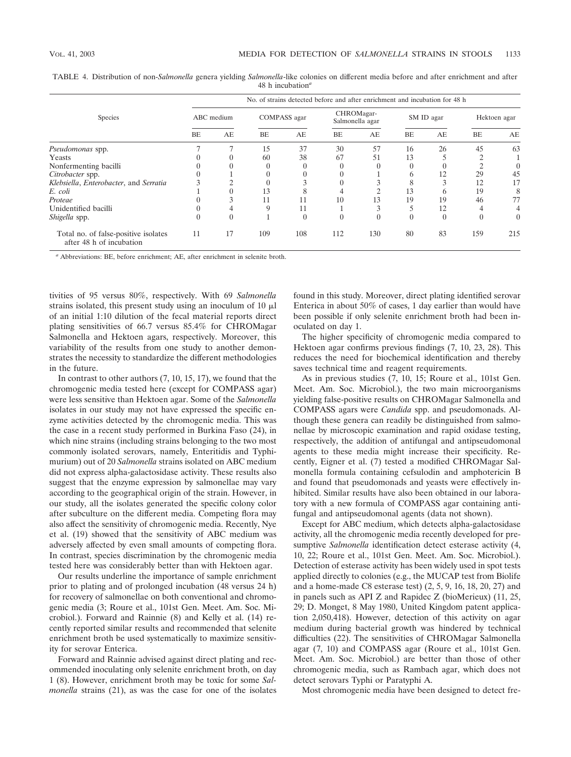| <b>Species</b>                                                   |            |          | No. of strains detected before and after enrichment and incubation for 48 h |          |                               |          |              |              |              |     |  |
|------------------------------------------------------------------|------------|----------|-----------------------------------------------------------------------------|----------|-------------------------------|----------|--------------|--------------|--------------|-----|--|
|                                                                  | ABC medium |          | COMPASS agar                                                                |          | CHROMagar-<br>Salmonella agar |          | SM ID agar   |              | Hektoen agar |     |  |
|                                                                  | BE         | AE       | BE                                                                          | AE       | BE                            | AE       | BE           | AE           | BE           | AE  |  |
| Pseudomonas spp.                                                 |            |          | 15                                                                          | 37       | 30                            | 57       | 16           | 26           | 45           | 63  |  |
| Yeasts                                                           |            |          | 60                                                                          | 38       | 67                            | 51       | 13           |              |              |     |  |
| Nonfermenting bacilli                                            |            |          | $\Omega$                                                                    |          |                               | $\Omega$ |              | $\theta$     |              |     |  |
| Citrobacter spp.                                                 |            |          | $\theta$                                                                    |          |                               |          | <sub>0</sub> | 12           | 29           | 45  |  |
| Klebsiella, Enterobacter, and Serratia                           |            |          | $\theta$                                                                    |          |                               |          | 8            | 3            | 12           | 17  |  |
| E. coli                                                          |            |          | 13                                                                          | Λ        |                               |          | 13           | <sub>b</sub> | 19           | 8   |  |
| Proteae                                                          |            |          | 11                                                                          | 11       | 10                            | 13       | 19           | 19           | 46           | 77  |  |
| Unidentified bacilli                                             |            |          | 9                                                                           | 11       |                               |          |              | 12           |              |     |  |
| Shigella spp.                                                    | 0          | $\Omega$ |                                                                             | $\theta$ | $\Omega$                      | $\theta$ | $\Omega$     | $\Omega$     | $\Omega$     | 0   |  |
| Total no. of false-positive isolates<br>after 48 h of incubation | 11         | 17       | 109                                                                         | 108      | 112                           | 130      | 80           | 83           | 159          | 215 |  |

TABLE 4. Distribution of non-*Salmonella* genera yielding *Salmonella*-like colonies on different media before and after enrichment and after 48 h incubation*<sup>a</sup>*

*<sup>a</sup>* Abbreviations: BE, before enrichment; AE, after enrichment in selenite broth.

tivities of 95 versus 80%, respectively. With 69 *Salmonella* strains isolated, this present study using an inoculum of  $10 \mu l$ of an initial 1:10 dilution of the fecal material reports direct plating sensitivities of 66.7 versus 85.4% for CHROMagar Salmonella and Hektoen agars, respectively. Moreover, this variability of the results from one study to another demonstrates the necessity to standardize the different methodologies in the future.

In contrast to other authors (7, 10, 15, 17), we found that the chromogenic media tested here (except for COMPASS agar) were less sensitive than Hektoen agar. Some of the *Salmonella* isolates in our study may not have expressed the specific enzyme activities detected by the chromogenic media. This was the case in a recent study performed in Burkina Faso (24), in which nine strains (including strains belonging to the two most commonly isolated serovars, namely, Enteritidis and Typhimurium) out of 20 *Salmonella* strains isolated on ABC medium did not express alpha-galactosidase activity. These results also suggest that the enzyme expression by salmonellae may vary according to the geographical origin of the strain. However, in our study, all the isolates generated the specific colony color after subculture on the different media. Competing flora may also affect the sensitivity of chromogenic media. Recently, Nye et al. (19) showed that the sensitivity of ABC medium was adversely affected by even small amounts of competing flora. In contrast, species discrimination by the chromogenic media tested here was considerably better than with Hektoen agar.

Our results underline the importance of sample enrichment prior to plating and of prolonged incubation (48 versus 24 h) for recovery of salmonellae on both conventional and chromogenic media (3; Roure et al., 101st Gen. Meet. Am. Soc. Microbiol.). Forward and Rainnie (8) and Kelly et al. (14) recently reported similar results and recommended that selenite enrichment broth be used systematically to maximize sensitivity for serovar Enterica.

Forward and Rainnie advised against direct plating and recommended inoculating only selenite enrichment broth, on day 1 (8). However, enrichment broth may be toxic for some *Salmonella* strains (21), as was the case for one of the isolates found in this study. Moreover, direct plating identified serovar Enterica in about 50% of cases, 1 day earlier than would have been possible if only selenite enrichment broth had been inoculated on day 1.

The higher specificity of chromogenic media compared to Hektoen agar confirms previous findings (7, 10, 23, 28). This reduces the need for biochemical identification and thereby saves technical time and reagent requirements.

As in previous studies (7, 10, 15; Roure et al., 101st Gen. Meet. Am. Soc. Microbiol.), the two main microorganisms yielding false-positive results on CHROMagar Salmonella and COMPASS agars were *Candida* spp. and pseudomonads. Although these genera can readily be distinguished from salmonellae by microscopic examination and rapid oxidase testing, respectively, the addition of antifungal and antipseudomonal agents to these media might increase their specificity. Recently, Eigner et al. (7) tested a modified CHROMagar Salmonella formula containing cefsulodin and amphotericin B and found that pseudomonads and yeasts were effectively inhibited. Similar results have also been obtained in our laboratory with a new formula of COMPASS agar containing antifungal and antipseudomonal agents (data not shown).

Except for ABC medium, which detects alpha-galactosidase activity, all the chromogenic media recently developed for presumptive *Salmonella* identification detect esterase activity (4, 10, 22; Roure et al., 101st Gen. Meet. Am. Soc. Microbiol.). Detection of esterase activity has been widely used in spot tests applied directly to colonies (e.g., the MUCAP test from Biolife and a home-made C8 esterase test) (2, 5, 9, 16, 18, 20, 27) and in panels such as API Z and Rapidec Z (bioMerieux) (11, 25, 29; D. Monget, 8 May 1980, United Kingdom patent application 2,050,418). However, detection of this activity on agar medium during bacterial growth was hindered by technical difficulties (22). The sensitivities of CHROMagar Salmonella agar (7, 10) and COMPASS agar (Roure et al., 101st Gen. Meet. Am. Soc. Microbiol.) are better than those of other chromogenic media, such as Rambach agar, which does not detect serovars Typhi or Paratyphi A.

Most chromogenic media have been designed to detect fre-